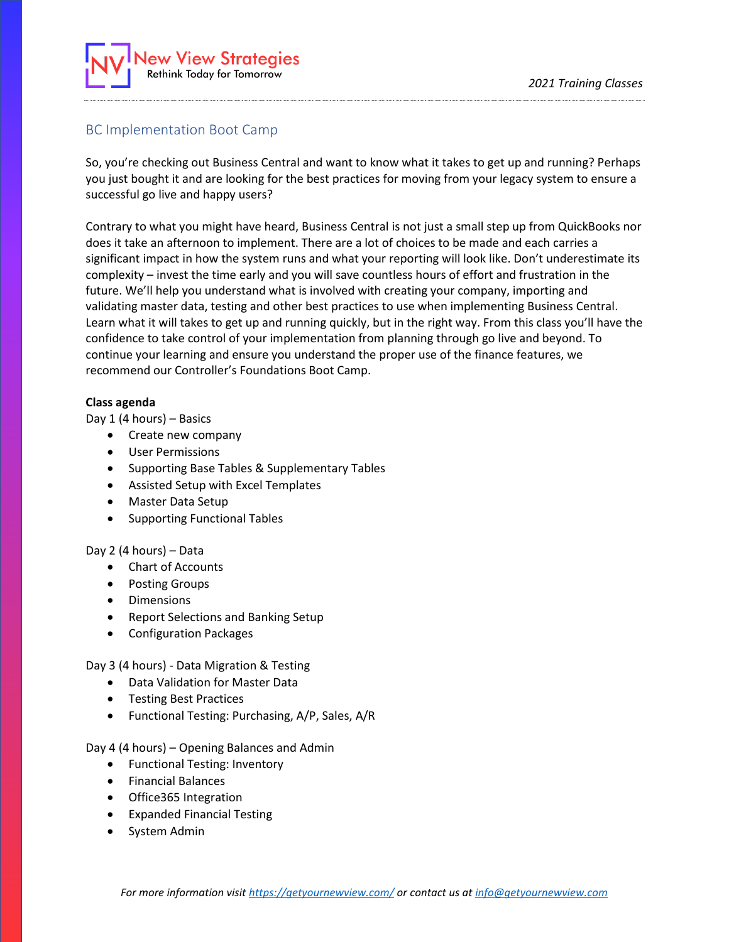

# BC Implementation Boot Camp

So, you're checking out Business Central and want to know what it takes to get up and running? Perhaps you just bought it and are looking for the best practices for moving from your legacy system to ensure a successful go live and happy users?

Contrary to what you might have heard, Business Central is not just a small step up from QuickBooks nor does it take an afternoon to implement. There are a lot of choices to be made and each carries a significant impact in how the system runs and what your reporting will look like. Don't underestimate its complexity – invest the time early and you will save countless hours of effort and frustration in the future. We'll help you understand what is involved with creating your company, importing and validating master data, testing and other best practices to use when implementing Business Central. Learn what it will takes to get up and running quickly, but in the right way. From this class you'll have the confidence to take control of your implementation from planning through go live and beyond. To continue your learning and ensure you understand the proper use of the finance features, we recommend our Controller's Foundations Boot Camp.

## **Class agenda**

Day 1 (4 hours) – Basics

- Create new company
- User Permissions
- Supporting Base Tables & Supplementary Tables
- Assisted Setup with Excel Templates
- Master Data Setup
- Supporting Functional Tables

Day 2 (4 hours) – Data

- Chart of Accounts
- Posting Groups
- Dimensions
- Report Selections and Banking Setup
- Configuration Packages

Day 3 (4 hours) - Data Migration & Testing

- Data Validation for Master Data
- Testing Best Practices
- Functional Testing: Purchasing, A/P, Sales, A/R

Day 4 (4 hours) – Opening Balances and Admin

- Functional Testing: Inventory
- Financial Balances
- Office365 Integration
- Expanded Financial Testing
- System Admin